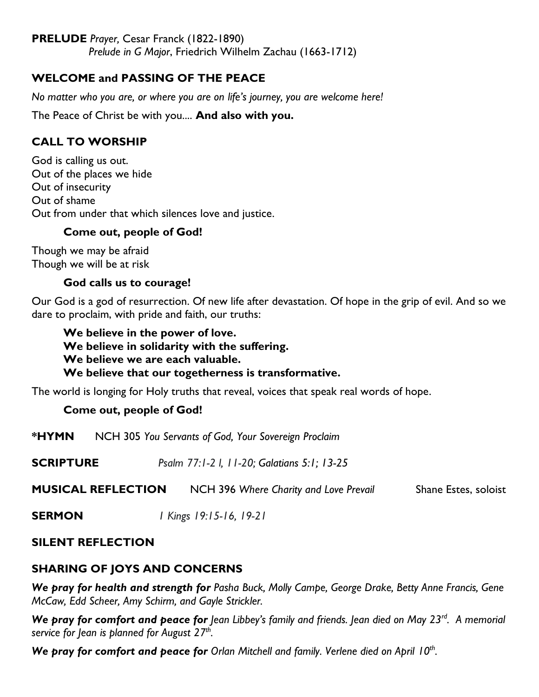### **PRELUDE** *Prayer,* Cesar Franck (1822-1890)

*Prelude in G Major*, Friedrich Wilhelm Zachau (1663-1712)

### **WELCOME and PASSING OF THE PEACE**

*No matter who you are, or where you are on life's journey, you are welcome here!*

The Peace of Christ be with you.... **And also with you.**

### **CALL TO WORSHIP**

God is calling us out. Out of the places we hide Out of insecurity Out of shame Out from under that which silences love and justice.

### **Come out, people of God!**

Though we may be afraid Though we will be at risk

### **God calls us to courage!**

Our God is a god of resurrection. Of new life after devastation. Of hope in the grip of evil. And so we dare to proclaim, with pride and faith, our truths:

**We believe in the power of love. We believe in solidarity with the suffering. We believe we are each valuable. We believe that our togetherness is transformative.**

The world is longing for Holy truths that reveal, voices that speak real words of hope.

### **Come out, people of God!**

**\*HYMN** NCH 305 *You Servants of God, Your Sovereign Proclaim*

**SCRIPTURE** *Psalm 77:1-2 l, 11-20; Galatians 5:1; 13-25*

**MUSICAL REFLECTION** NCH 396 Where Charity and Love Prevail Shane Estes, soloist

**SERMON** *1 Kings 19:15-16, 19-21*

### **SILENT REFLECTION**

### **SHARING OF JOYS AND CONCERNS**

*We pray for health and strength for Pasha Buck, Molly Campe, George Drake, Betty Anne Francis, Gene McCaw, Edd Scheer, Amy Schirm, and Gayle Strickler.*

We pray for comfort and peace for *Jean Libbey's family and friends.* Jean died on May 23<sup>rd</sup>. A memorial *service for Jean is planned for August 27th .*

We pray for comfort and peace for Orlan Mitchell and family. Verlene died on April 10<sup>th</sup>.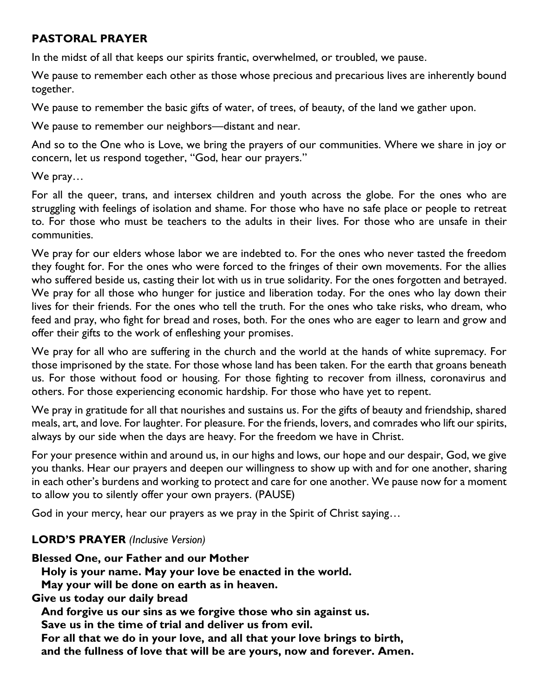### **PASTORAL PRAYER**

In the midst of all that keeps our spirits frantic, overwhelmed, or troubled, we pause.

We pause to remember each other as those whose precious and precarious lives are inherently bound together.

We pause to remember the basic gifts of water, of trees, of beauty, of the land we gather upon.

We pause to remember our neighbors—distant and near.

And so to the One who is Love, we bring the prayers of our communities. Where we share in joy or concern, let us respond together, "God, hear our prayers."

We pray…

For all the queer, trans, and intersex children and youth across the globe. For the ones who are struggling with feelings of isolation and shame. For those who have no safe place or people to retreat to. For those who must be teachers to the adults in their lives. For those who are unsafe in their communities.

We pray for our elders whose labor we are indebted to. For the ones who never tasted the freedom they fought for. For the ones who were forced to the fringes of their own movements. For the allies who suffered beside us, casting their lot with us in true solidarity. For the ones forgotten and betrayed. We pray for all those who hunger for justice and liberation today. For the ones who lay down their lives for their friends. For the ones who tell the truth. For the ones who take risks, who dream, who feed and pray, who fight for bread and roses, both. For the ones who are eager to learn and grow and offer their gifts to the work of enfleshing your promises.

We pray for all who are suffering in the church and the world at the hands of white supremacy. For those imprisoned by the state. For those whose land has been taken. For the earth that groans beneath us. For those without food or housing. For those fighting to recover from illness, coronavirus and others. For those experiencing economic hardship. For those who have yet to repent.

We pray in gratitude for all that nourishes and sustains us. For the gifts of beauty and friendship, shared meals, art, and love. For laughter. For pleasure. For the friends, lovers, and comrades who lift our spirits, always by our side when the days are heavy. For the freedom we have in Christ.

For your presence within and around us, in our highs and lows, our hope and our despair, God, we give you thanks. Hear our prayers and deepen our willingness to show up with and for one another, sharing in each other's burdens and working to protect and care for one another. We pause now for a moment to allow you to silently offer your own prayers. (PAUSE)

God in your mercy, hear our prayers as we pray in the Spirit of Christ saying…

# **LORD'S PRAYER** *(Inclusive Version)*

**Blessed One, our Father and our Mother**

 **Holy is your name. May your love be enacted in the world.**

 **May your will be done on earth as in heaven.**

**Give us today our daily bread**

**And forgive us our sins as we forgive those who sin against us.**

**Save us in the time of trial and deliver us from evil.**

 **For all that we do in your love, and all that your love brings to birth,**

 **and the fullness of love that will be are yours, now and forever. Amen.**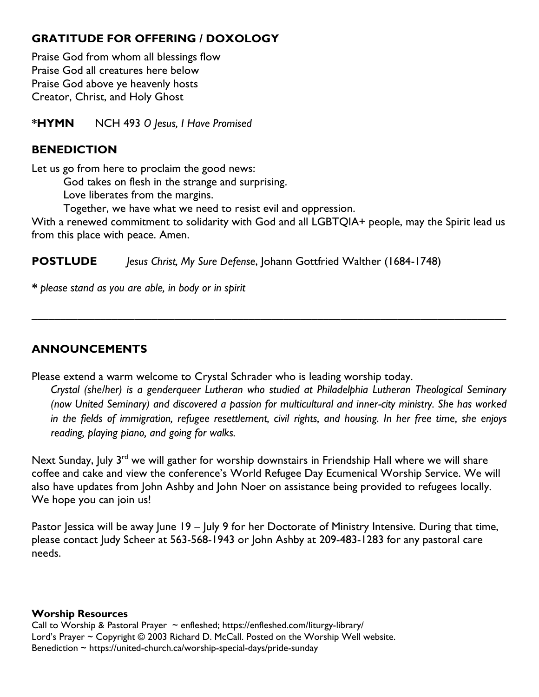# **GRATITUDE FOR OFFERING / DOXOLOGY**

Praise God from whom all blessings flow Praise God all creatures here below Praise God above ye heavenly hosts Creator, Christ, and Holy Ghost

**\*HYMN** NCH 493 *O Jesus, I Have Promised*

### **BENEDICTION**

Let us go from here to proclaim the good news:

God takes on flesh in the strange and surprising.

Love liberates from the margins.

Together, we have what we need to resist evil and oppression.

With a renewed commitment to solidarity with God and all LGBTQIA+ people, may the Spirit lead us from this place with peace. Amen.

*\_\_\_\_\_\_\_\_\_\_\_\_\_\_\_\_\_\_\_\_\_\_\_\_\_\_\_\_\_\_\_\_\_\_\_\_\_\_\_\_\_\_\_\_\_\_\_\_\_\_\_\_\_\_\_\_\_\_\_\_\_\_\_\_\_\_\_\_\_\_\_\_\_\_\_\_\_\_\_\_\_\_\_*

**POSTLUDE** *Jesus Christ, My Sure Defense*, Johann Gottfried Walther (1684-1748)

*\* please stand as you are able, in body or in spirit*

### **ANNOUNCEMENTS**

Please extend a warm welcome to Crystal Schrader who is leading worship today.

*Crystal (she/her) is a genderqueer Lutheran who studied at Philadelphia Lutheran Theological Seminary (now United Seminary) and discovered a passion for multicultural and inner-city ministry. She has worked in the fields of immigration, refugee resettlement, civil rights, and housing. In her free time, she enjoys reading, playing piano, and going for walks.*

Next Sunday, July 3<sup>rd</sup> we will gather for worship downstairs in Friendship Hall where we will share coffee and cake and view the conference's World Refugee Day Ecumenical Worship Service. We will also have updates from John Ashby and John Noer on assistance being provided to refugees locally. We hope you can join us!

Pastor Jessica will be away June 19 – July 9 for her Doctorate of Ministry Intensive. During that time, please contact Judy Scheer at 563-568-1943 or John Ashby at 209-483-1283 for any pastoral care needs.

### **Worship Resources**

Call to Worship & Pastoral Prayer  $\sim$  enfleshed; https://enfleshed.com/liturgy-library/ Lord's Prayer ~ Copyright © 2003 Richard D. McCall. Posted on the [Worship Well](http://www.theworshipwell.org/pdf/WOR_McCall3.pdf) website. Benediction ~ https://united-church.ca/worship-special-days/pride-sunday